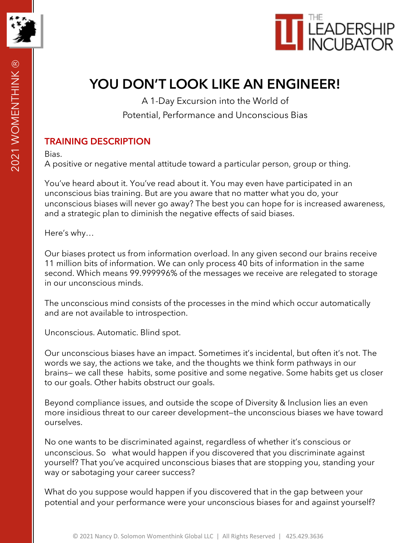



# **YOU DON'T LOOK LIKE AN ENGINEER!**

A 1-Day Excursion into the World of Potential, Performance and Unconscious Bias

#### **TRAINING DESCRIPTION**

Bias.

A positive or negative mental attitude toward a particular person, group or thing.

You've heard about it. You've read about it. You may even have participated in an unconscious bias training. But are you aware that no matter what you do, your unconscious biases will never go away? The best you can hope for is increased awareness, and a strategic plan to diminish the negative effects of said biases.

Here's why…

Our biases protect us from information overload. In any given second our brains receive 11 million bits of information. We can only process 40 bits of information in the same second. Which means 99.999996% of the messages we receive are relegated to storage in our unconscious minds.

The unconscious mind consists of the processes in the mind which occur automatically and are not available to introspection.

Unconscious. Automatic. Blind spot.

Our unconscious biases have an impact. Sometimes it's incidental, but often it's not. The words we say, the actions we take, and the thoughts we think form pathways in our brains— we call these habits, some positive and some negative. Some habits get us closer to our goals. Other habits obstruct our goals.

Beyond compliance issues, and outside the scope of Diversity & Inclusion lies an even more insidious threat to our career development—the unconscious biases we have toward ourselves.

No one wants to be discriminated against, regardless of whether it's conscious or unconscious. So what would happen if you discovered that you discriminate against yourself? That you've acquired unconscious biases that are stopping you, standing your way or sabotaging your career success?

What do you suppose would happen if you discovered that in the gap between your potential and your performance were your unconscious biases for and against yourself?